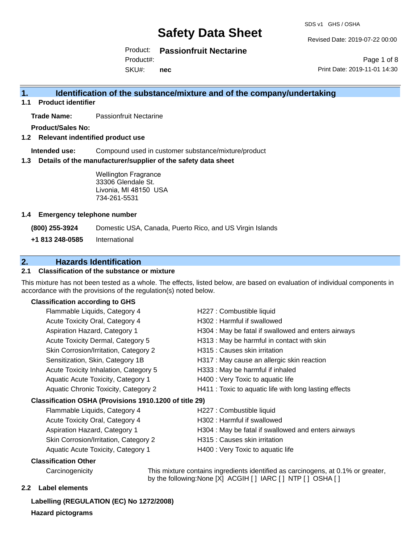SDS v1 GHS / OSHA

Revised Date: 2019-07-22 00:00

Product: **Passionfruit Nectarine**

SKU#: Product#: **nec**

Page 1 of 8 Print Date: 2019-11-01 14:30

### **1. Identification of the substance/mixture and of the company/undertaking**

**1.1 Product identifier**

**Trade Name:** Passionfruit Nectarine

**Product/Sales No:**

**1.2 Relevant indentified product use**

**Intended use:** Compound used in customer substance/mixture/product

**1.3 Details of the manufacturer/supplier of the safety data sheet**

Wellington Fragrance 33306 Glendale St. Livonia, MI 48150 USA 734-261-5531

#### **1.4 Emergency telephone number**

**(800) 255-3924** Domestic USA, Canada, Puerto Rico, and US Virgin Islands

**+1 813 248-0585** International

#### **2. Hazards Identification**

#### **2.1 Classification of the substance or mixture**

This mixture has not been tested as a whole. The effects, listed below, are based on evaluation of individual components in accordance with the provisions of the regulation(s) noted below.

#### **Classification according to GHS**

|                                                        | Flammable Liquids, Category 4         | H227 : Combustible liquid                              |  |
|--------------------------------------------------------|---------------------------------------|--------------------------------------------------------|--|
|                                                        | Acute Toxicity Oral, Category 4       | H302: Harmful if swallowed                             |  |
|                                                        | Aspiration Hazard, Category 1         | H304 : May be fatal if swallowed and enters airways    |  |
|                                                        | Acute Toxicity Dermal, Category 5     | H313 : May be harmful in contact with skin             |  |
|                                                        | Skin Corrosion/Irritation, Category 2 | H315 : Causes skin irritation                          |  |
|                                                        | Sensitization, Skin, Category 1B      | H317 : May cause an allergic skin reaction             |  |
|                                                        | Acute Toxicity Inhalation, Category 5 | H333: May be harmful if inhaled                        |  |
|                                                        | Aquatic Acute Toxicity, Category 1    | H400 : Very Toxic to aquatic life                      |  |
|                                                        | Aquatic Chronic Toxicity, Category 2  | H411 : Toxic to aquatic life with long lasting effects |  |
| Classification OSHA (Provisions 1910.1200 of title 29) |                                       |                                                        |  |
|                                                        | Flammable Liquids, Category 4         | H227 : Combustible liquid                              |  |
|                                                        | Acute Toxicity Oral, Category 4       | H302 : Harmful if swallowed                            |  |
|                                                        | Aspiration Hazard, Category 1         | H304 : May be fatal if swallowed and enters airways    |  |
|                                                        | Skin Corrosion/Irritation, Category 2 | H315 : Causes skin irritation                          |  |

Aquatic Acute Toxicity, Category 1 **H400** : Very Toxic to aquatic life

#### **Classification Other**

Carcinogenicity This mixture contains ingredients identified as carcinogens, at 0.1% or greater, by the following:None [X] ACGIH [ ] IARC [ ] NTP [ ] OSHA [ ]

#### **2.2 Label elements**

**Labelling (REGULATION (EC) No 1272/2008) Hazard pictograms**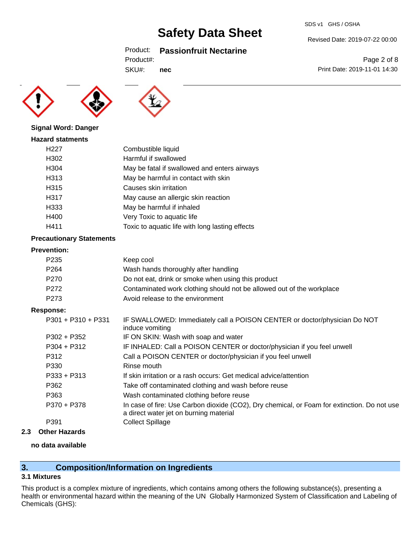#### Product: **Passionfruit Nectarine**

SKU#: **nec**





#### **Signal Word: Danger**

| <b>Hazard statments</b> |                                                 |
|-------------------------|-------------------------------------------------|
| H <sub>22</sub> 7       | Combustible liquid                              |
| H302                    | Harmful if swallowed                            |
| H304                    | May be fatal if swallowed and enters airways    |
| H313                    | May be harmful in contact with skin             |
| H315                    | Causes skin irritation                          |
| H317                    | May cause an allergic skin reaction             |
| H333                    | May be harmful if inhaled                       |
| H400                    | Very Toxic to aquatic life                      |
| H411                    | Toxic to aquatic life with long lasting effects |

#### **Precautionary Statements**

#### **Prevention:**

| P235 | Keep cool                                                             |
|------|-----------------------------------------------------------------------|
| P264 | Wash hands thoroughly after handling                                  |
| P270 | Do not eat, drink or smoke when using this product                    |
| P272 | Contaminated work clothing should not be allowed out of the workplace |
| P273 | Avoid release to the environment                                      |

#### **Response:**

| P301 + P310 + P331 | IF SWALLOWED: Immediately call a POISON CENTER or doctor/physician Do NOT<br>induce vomiting                                          |
|--------------------|---------------------------------------------------------------------------------------------------------------------------------------|
| $P302 + P352$      | IF ON SKIN: Wash with soap and water                                                                                                  |
| $P304 + P312$      | IF INHALED: Call a POISON CENTER or doctor/physician if you feel unwell                                                               |
| P312               | Call a POISON CENTER or doctor/physician if you feel unwell                                                                           |
| P330               | Rinse mouth                                                                                                                           |
| $P333 + P313$      | If skin irritation or a rash occurs: Get medical advice/attention                                                                     |
| P362               | Take off contaminated clothing and wash before reuse                                                                                  |
| P363               | Wash contaminated clothing before reuse                                                                                               |
| P370 + P378        | In case of fire: Use Carbon dioxide (CO2), Dry chemical, or Foam for extinction. Do not use<br>a direct water jet on burning material |
| P391               | <b>Collect Spillage</b>                                                                                                               |

#### **2.3 Other Hazards**

#### **no data available**

### **3. Composition/Information on Ingredients**

#### **3.1 Mixtures**

This product is a complex mixture of ingredients, which contains among others the following substance(s), presenting a health or environmental hazard within the meaning of the UN Globally Harmonized System of Classification and Labeling of Chemicals (GHS):

Revised Date: 2019-07-22 00:00

Page 2 of 8 Print Date: 2019-11-01 14:30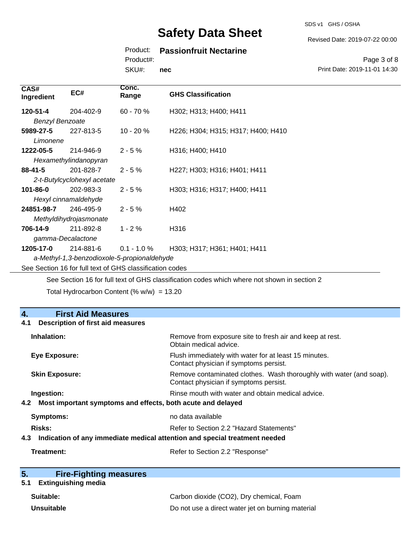SDS v1 GHS / OSHA

Revised Date: 2019-07-22 00:00

#### Product: **Passionfruit Nectarine**

Product#:

SKU#: **nec**

Page 3 of 8 Print Date: 2019-11-01 14:30

| CAS#<br>Ingredient                                       | EC#                         | Conc.<br>Range | <b>GHS Classification</b>          |
|----------------------------------------------------------|-----------------------------|----------------|------------------------------------|
| 120-51-4                                                 | 204-402-9                   | $60 - 70%$     | H302; H313; H400; H411             |
| <b>Benzyl Benzoate</b>                                   |                             |                |                                    |
| 5989-27-5                                                | 227-813-5                   | $10 - 20%$     | H226; H304; H315; H317; H400; H410 |
| Limonene                                                 |                             |                |                                    |
| 1222-05-5                                                | 214-946-9                   | $2 - 5%$       | H316; H400; H410                   |
|                                                          | Hexamethylindanopyran       |                |                                    |
| 88-41-5                                                  | 201-828-7                   | $2 - 5%$       | H227; H303; H316; H401; H411       |
|                                                          | 2-t-Butylcyclohexyl acetate |                |                                    |
| 101-86-0                                                 | 202-983-3                   | $2 - 5%$       | H303; H316; H317; H400; H411       |
| Hexyl cinnamaldehyde                                     |                             |                |                                    |
| 24851-98-7                                               | 246-495-9                   | $2 - 5%$       | H402                               |
| Methyldihydrojasmonate                                   |                             |                |                                    |
| 706-14-9                                                 | 211-892-8                   | $1 - 2%$       | H316                               |
| gamma-Decalactone                                        |                             |                |                                    |
| 1205-17-0                                                | 214-881-6                   | $0.1 - 1.0 \%$ | H303; H317; H361; H401; H411       |
| a-Methyl-1,3-benzodioxole-5-propionaldehyde              |                             |                |                                    |
| See Section 16 for full text of GHS classification codes |                             |                |                                    |
|                                                          |                             |                |                                    |

See Section 16 for full text of GHS classification codes which where not shown in section 2

Total Hydrocarbon Content (%  $w/w$ ) = 13.20

## **4. First Aid Measures 4.1 Description of first aid measures Inhalation:** Remove from exposure site to fresh air and keep at rest. Obtain medical advice. **Eye Exposure:** Flush immediately with water for at least 15 minutes. Contact physician if symptoms persist. **Skin Exposure:** Remove contaminated clothes. Wash thoroughly with water (and soap). Contact physician if symptoms persist. **Ingestion: Rinse mouth with water and obtain medical advice. Rinse mouth with water and obtain medical advice. 4.2 Most important symptoms and effects, both acute and delayed Symptoms:** no data available **Risks:** Risks: Refer to Section 2.2 "Hazard Statements" **4.3 Indication of any immediate medical attention and special treatment needed Treatment:** Refer to Section 2.2 "Response"

| 5. | <b>Fire-Fighting measures</b> |
|----|-------------------------------|
|    |                               |

### **5.1 Extinguishing media**

| Suitable:         | Carbon dioxide (CO2), Dry chemical, Foam          |
|-------------------|---------------------------------------------------|
| <b>Unsuitable</b> | Do not use a direct water jet on burning material |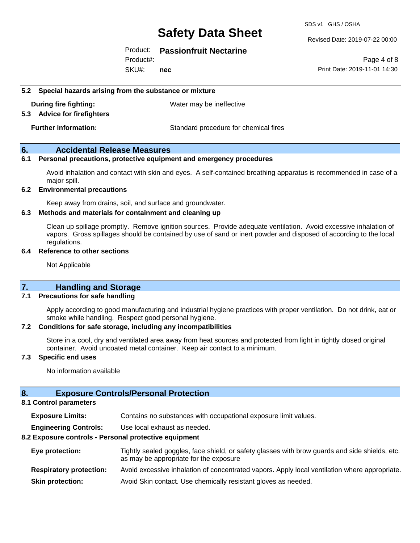SDS v1 GHS / OSHA

#### Revised Date: 2019-07-22 00:00

#### Product: **Passionfruit Nectarine**

SKU#: Product#: **nec**

Page 4 of 8 Print Date: 2019-11-01 14:30

#### **5.2 Special hazards arising from the substance or mixture**

**During fire fighting:** Water may be ineffective

#### **5.3 Advice for firefighters**

**Further information:** Standard procedure for chemical fires

#### **6. Accidental Release Measures**

#### **6.1 Personal precautions, protective equipment and emergency procedures**

Avoid inhalation and contact with skin and eyes. A self-contained breathing apparatus is recommended in case of a major spill.

#### **6.2 Environmental precautions**

Keep away from drains, soil, and surface and groundwater.

#### **6.3 Methods and materials for containment and cleaning up**

Clean up spillage promptly. Remove ignition sources. Provide adequate ventilation. Avoid excessive inhalation of vapors. Gross spillages should be contained by use of sand or inert powder and disposed of according to the local regulations.

#### **6.4 Reference to other sections**

Not Applicable

#### **7. Handling and Storage**

#### **7.1 Precautions for safe handling**

Apply according to good manufacturing and industrial hygiene practices with proper ventilation. Do not drink, eat or smoke while handling. Respect good personal hygiene.

#### **7.2 Conditions for safe storage, including any incompatibilities**

Store in a cool, dry and ventilated area away from heat sources and protected from light in tightly closed original container. Avoid uncoated metal container. Keep air contact to a minimum.

#### **7.3 Specific end uses**

No information available

#### **8. Exposure Controls/Personal Protection**

#### **8.1 Control parameters**

**Exposure Limits:** Contains no substances with occupational exposure limit values.

**Engineering Controls:** Use local exhaust as needed.

#### **8.2 Exposure controls - Personal protective equipment**

| Eye protection:                | Tightly sealed goggles, face shield, or safety glasses with brow guards and side shields, etc.<br>as may be appropriate for the exposure |
|--------------------------------|------------------------------------------------------------------------------------------------------------------------------------------|
| <b>Respiratory protection:</b> | Avoid excessive inhalation of concentrated vapors. Apply local ventilation where appropriate.                                            |
| <b>Skin protection:</b>        | Avoid Skin contact. Use chemically resistant gloves as needed.                                                                           |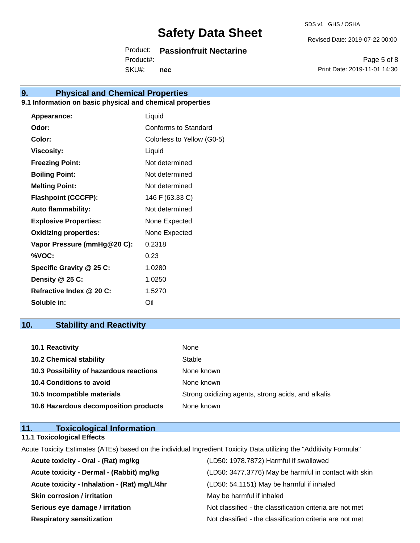SDS v1 GHS / OSHA

Revised Date: 2019-07-22 00:00

Product: **Passionfruit Nectarine**

SKU#: Product#: **nec**

Page 5 of 8 Print Date: 2019-11-01 14:30

## **9. Physical and Chemical Properties**

#### **9.1 Information on basic physical and chemical properties**

| Appearance:                  | Liquid                     |
|------------------------------|----------------------------|
| Odor:                        | Conforms to Standard       |
| Color:                       | Colorless to Yellow (G0-5) |
| <b>Viscosity:</b>            | Liquid                     |
| <b>Freezing Point:</b>       | Not determined             |
| <b>Boiling Point:</b>        | Not determined             |
| <b>Melting Point:</b>        | Not determined             |
| <b>Flashpoint (CCCFP):</b>   | 146 F (63.33 C)            |
| <b>Auto flammability:</b>    | Not determined             |
| <b>Explosive Properties:</b> | None Expected              |
| <b>Oxidizing properties:</b> | None Expected              |
| Vapor Pressure (mmHg@20 C):  | 0.2318                     |
| %VOC:                        | 0.23                       |
| Specific Gravity @ 25 C:     | 1.0280                     |
| Density @ 25 C:              | 1.0250                     |
| Refractive Index @ 20 C:     | 1.5270                     |
| Soluble in:                  | Oil                        |

### **10. Stability and Reactivity**

| 10.1 Reactivity                         | None                                               |
|-----------------------------------------|----------------------------------------------------|
| <b>10.2 Chemical stability</b>          | Stable                                             |
| 10.3 Possibility of hazardous reactions | None known                                         |
| <b>10.4 Conditions to avoid</b>         | None known                                         |
| 10.5 Incompatible materials             | Strong oxidizing agents, strong acids, and alkalis |
| 10.6 Hazardous decomposition products   | None known                                         |

#### **11. Toxicological Information 11.1 Toxicological Effects**

Acute Toxicity Estimates (ATEs) based on the individual Ingredient Toxicity Data utilizing the "Additivity Formula"

| Acute toxicity - Oral - (Rat) mg/kg          | (LD50: 1978.7872) Harmful if swallowed                   |
|----------------------------------------------|----------------------------------------------------------|
| Acute toxicity - Dermal - (Rabbit) mg/kg     | (LD50: 3477.3776) May be harmful in contact with skin    |
| Acute toxicity - Inhalation - (Rat) mg/L/4hr | (LD50: 54.1151) May be harmful if inhaled                |
| <b>Skin corrosion / irritation</b>           | May be harmful if inhaled                                |
| Serious eye damage / irritation              | Not classified - the classification criteria are not met |
| <b>Respiratory sensitization</b>             | Not classified - the classification criteria are not met |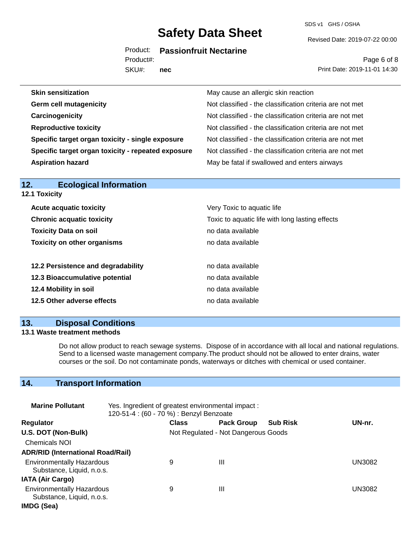SDS v1 GHS / OSHA

Revised Date: 2019-07-22 00:00

Product: **Passionfruit Nectarine**

SKU#: Product#: **nec**

Page 6 of 8 Print Date: 2019-11-01 14:30

| <b>Skin sensitization</b>                          | May cause an allergic skin reaction                      |
|----------------------------------------------------|----------------------------------------------------------|
| <b>Germ cell mutagenicity</b>                      | Not classified - the classification criteria are not met |
| Carcinogenicity                                    | Not classified - the classification criteria are not met |
| <b>Reproductive toxicity</b>                       | Not classified - the classification criteria are not met |
| Specific target organ toxicity - single exposure   | Not classified - the classification criteria are not met |
| Specific target organ toxicity - repeated exposure | Not classified - the classification criteria are not met |
| <b>Aspiration hazard</b>                           | May be fatal if swallowed and enters airways             |
|                                                    |                                                          |

| <b>12.1 Toxicity</b>               |                                                 |  |  |
|------------------------------------|-------------------------------------------------|--|--|
| <b>Acute acquatic toxicity</b>     | Very Toxic to aquatic life                      |  |  |
| <b>Chronic acquatic toxicity</b>   | Toxic to aquatic life with long lasting effects |  |  |
| <b>Toxicity Data on soil</b>       | no data available                               |  |  |
| <b>Toxicity on other organisms</b> | no data available                               |  |  |
| 12.2 Persistence and degradability | no data available                               |  |  |
| 12.3 Bioaccumulative potential     | no data available                               |  |  |
| 12.4 Mobility in soil              | no data available                               |  |  |
| 12.5 Other adverse effects         | no data available                               |  |  |

#### **13. Disposal Conditions**

**12. Ecological Information** 

#### **13.1 Waste treatment methods**

Do not allow product to reach sewage systems. Dispose of in accordance with all local and national regulations. Send to a licensed waste management company.The product should not be allowed to enter drains, water courses or the soil. Do not contaminate ponds, waterways or ditches with chemical or used container.

### **14. Transport Information**

| <b>Marine Pollutant</b>                                       | Yes. Ingredient of greatest environmental impact:<br>120-51-4 : (60 - 70 %) : Benzyl Benzoate |              |                                     |                 |               |
|---------------------------------------------------------------|-----------------------------------------------------------------------------------------------|--------------|-------------------------------------|-----------------|---------------|
| <b>Regulator</b>                                              |                                                                                               | <b>Class</b> | <b>Pack Group</b>                   | <b>Sub Risk</b> | UN-nr.        |
| U.S. DOT (Non-Bulk)                                           |                                                                                               |              | Not Regulated - Not Dangerous Goods |                 |               |
| <b>Chemicals NOI</b>                                          |                                                                                               |              |                                     |                 |               |
| <b>ADR/RID (International Road/Rail)</b>                      |                                                                                               |              |                                     |                 |               |
| <b>Environmentally Hazardous</b><br>Substance, Liquid, n.o.s. |                                                                                               | 9            | Ш                                   |                 | <b>UN3082</b> |
| <b>IATA (Air Cargo)</b>                                       |                                                                                               |              |                                     |                 |               |
| <b>Environmentally Hazardous</b><br>Substance, Liquid, n.o.s. |                                                                                               | 9            | Ш                                   |                 | UN3082        |
| IMDG (Sea)                                                    |                                                                                               |              |                                     |                 |               |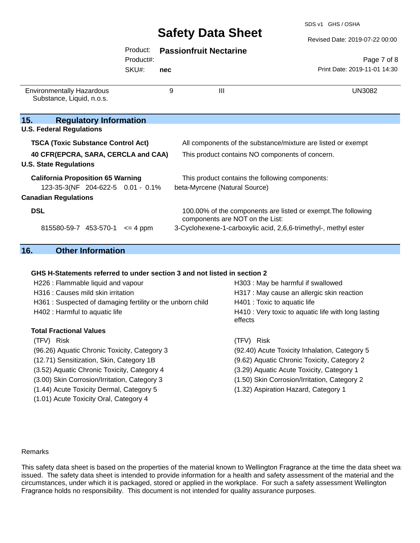SDS v1 GHS / OSHA

#### Revised Date: 2019-07-22 00:00

#### Product: **Passionfruit Nectarine**

Product#:

SKU#: **nec**

Page 7 of 8 Print Date: 2019-11-01 14:30

| <b>Environmentally Hazardous</b><br>Substance, Liquid, n.o.s. | 9 | $\mathbf{III}$                                                                                   | UN3082 |
|---------------------------------------------------------------|---|--------------------------------------------------------------------------------------------------|--------|
| 15.<br><b>Regulatory Information</b>                          |   |                                                                                                  |        |
| <b>U.S. Federal Regulations</b>                               |   |                                                                                                  |        |
| <b>TSCA (Toxic Substance Control Act)</b>                     |   | All components of the substance/mixture are listed or exempt                                     |        |
| 40 CFR(EPCRA, SARA, CERCLA and CAA)                           |   | This product contains NO components of concern.                                                  |        |
| <b>U.S. State Regulations</b>                                 |   |                                                                                                  |        |
| <b>California Proposition 65 Warning</b>                      |   | This product contains the following components:                                                  |        |
| 123-35-3(NF 204-622-5 0.01 - 0.1%                             |   | beta-Myrcene (Natural Source)                                                                    |        |
| <b>Canadian Regulations</b>                                   |   |                                                                                                  |        |
| <b>DSL</b>                                                    |   | 100.00% of the components are listed or exempt. The following<br>components are NOT on the List: |        |
| 815580-59-7 453-570-1<br>$\leq$ 4 ppm                         |   | 3-Cyclohexene-1-carboxylic acid, 2,6,6-trimethyl-, methyl ester                                  |        |

## **16. Other Information**

#### **GHS H-Statements referred to under section 3 and not listed in section 2**

| H303: May be harmful if swallowed                              |
|----------------------------------------------------------------|
| H317 : May cause an allergic skin reaction                     |
| H401 : Toxic to aquatic life                                   |
| H410 : Very toxic to aquatic life with long lasting<br>effects |
|                                                                |
| (TFV) Risk                                                     |
| (92.40) Acute Toxicity Inhalation, Category 5                  |
| (9.62) Aquatic Chronic Toxicity, Category 2                    |
| (3.29) Aquatic Acute Toxicity, Category 1                      |
| (1.50) Skin Corrosion/Irritation, Category 2                   |
| (1.32) Aspiration Hazard, Category 1                           |
|                                                                |
|                                                                |

#### Remarks

This safety data sheet is based on the properties of the material known to Wellington Fragrance at the time the data sheet was issued. The safety data sheet is intended to provide information for a health and safety assessment of the material and the circumstances, under which it is packaged, stored or applied in the workplace. For such a safety assessment Wellington Fragrance holds no responsibility. This document is not intended for quality assurance purposes.